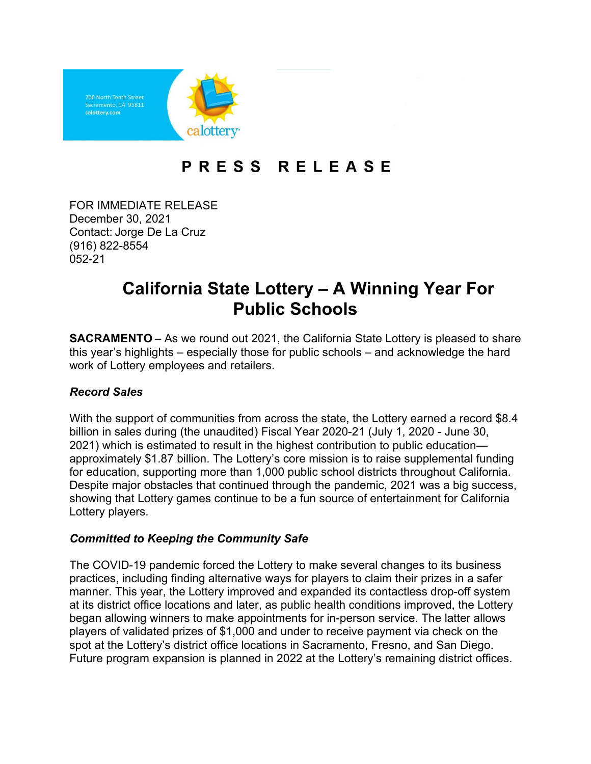

## **PRESS RELEASE**

 December 30, 2021  (916) 822-8554 FOR IMMEDIATE RELEASE  Contact: Jorge De La Cruz 052-21 

# **California State Lottery – A Winning Year For Public Schools**

 **SACRAMENTO** – As we round out 2021, the California State Lottery is pleased to share this year's highlights – especially those for public schools – and acknowledge the hard work of Lottery employees and retailers.

### *Record Sales*

 With the support of communities from across the state, the Lottery earned a record \$8.4 billion in sales during (the unaudited) Fiscal Year 2020-21 (July 1, 2020 - June 30, for education, supporting more than 1,000 public school districts throughout California. showing that Lottery games continue to be a fun source of entertainment for California 2021) which is estimated to result in the highest contribution to public education approximately \$1.87 billion. The Lottery's core mission is to raise supplemental funding Despite major obstacles that continued through the pandemic, 2021 was a big success, Lottery players.

### *Committed to Keeping the Community Safe*

 The COVID-19 pandemic forced the Lottery to make several changes to its business at its district office locations and later, as public health conditions improved, the Lottery players of validated prizes of \$1,000 and under to receive payment via check on the spot at the Lottery's district office locations in Sacramento, Fresno, and San Diego. Future program expansion is planned in 2022 at the Lottery's remaining district offices.practices, including finding alternative ways for players to claim their prizes in a safer manner. This year, the Lottery improved and expanded its contactless drop-off system began allowing winners to make appointments for in-person service. The latter allows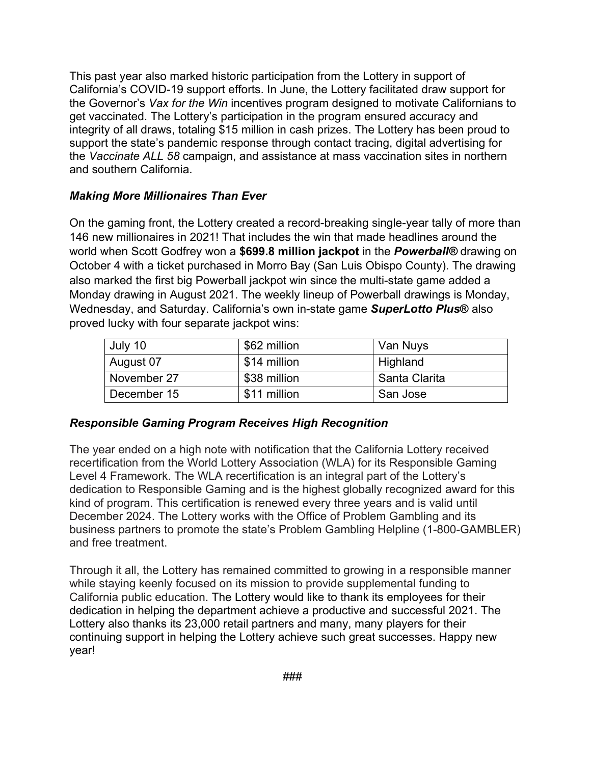integrity of all draws, totaling \$15 million in cash prizes. The Lottery has been proud to support the state's pandemic response through contact tracing, digital advertising for the *Vaccinate ALL 58* campaign, and assistance at mass vaccination sites in northern This past year also marked historic participation from the Lottery in support of California's COVID-19 support efforts. In June, the Lottery facilitated draw support for the Governor's *Vax for the Win* incentives program designed to motivate Californians to get vaccinated. The Lottery's participation in the program ensured accuracy and and southern California.

### *Making More Millionaires Than Ever*

 On the gaming front, the Lottery created a record-breaking single-year tally of more than 146 new millionaires in 2021! That includes the win that made headlines around the world when Scott Godfrey won a **\$699.8 million jackpot** in the *Powerball®* drawing on October 4 with a ticket purchased in Morro Bay (San Luis Obispo County). The drawing Monday drawing in August 2021. The weekly lineup of Powerball drawings is Monday, proved lucky with four separate jackpot wins: also marked the first big Powerball jackpot win since the multi-state game added a Wednesday, and Saturday. California's own in-state game *SuperLotto Plus***®** also

| July 10     | \$62 million | Van Nuys      |
|-------------|--------------|---------------|
| August 07   | \$14 million | Highland      |
| November 27 | \$38 million | Santa Clarita |
| December 15 | \$11 million | San Jose      |

### *Responsible Gaming Program Receives High Recognition*

 Level 4 Framework. The WLA recertification is an integral part of the Lottery's dedication to Responsible Gaming and is the highest globally recognized award for this kind of program. This certification is renewed every three years and is valid until December 2024. The Lottery works with the Office of Problem Gambling and its business partners to promote the state's Problem Gambling Helpline (1-800-GAMBLER) The year ended on a high note with notification that the California Lottery received recertification from the World Lottery Association (WLA) for its Responsible Gaming and free treatment.

 Through it all, the Lottery has remained committed to growing in a responsible manner while staying keenly focused on its mission to provide supplemental funding to California public education. The Lottery would like to thank its employees for their dedication in helping the department achieve a productive and successful 2021. The Lottery also thanks its 23,000 retail partners and many, many players for their continuing support in helping the Lottery achieve such great successes. Happy new year!